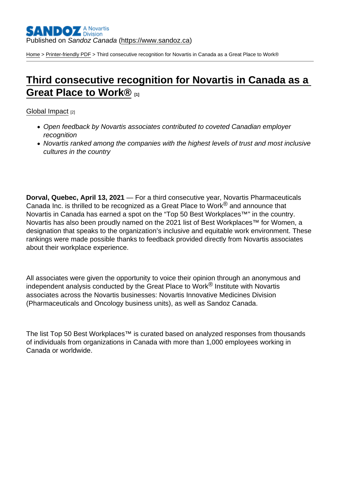[Home](https://www.sandoz.ca/en) > [Printer-friendly PDF](https://www.sandoz.ca/en/printpdf) > Third consecutive recognition for Novartis in Canada as a Great Place to Work®

## [Third consecutive recognition for Novartis in Canada as a](https://www.sandoz.ca/en/stories/global-impact/third-consecutive-recognition-novartis-canada-great-place-work-0)  [Great Place to Work®](https://www.sandoz.ca/en/stories/global-impact/third-consecutive-recognition-novartis-canada-great-place-work-0) [1]

[Global Impact](https://www.sandoz.ca/en/stories/global-impact) [2]

- Open feedback by Novartis associates contributed to coveted Canadian employer recognition
- Novartis ranked among the companies with the highest levels of trust and most inclusive cultures in the country

Dorval, Quebec, April 13, 2021 — For a third consecutive year, Novartis Pharmaceuticals Canada Inc. is thrilled to be recognized as a Great Place to Work $^{\circledR}$  and announce that Novartis in Canada has earned a spot on the "Top 50 Best Workplaces™" in the country. Novartis has also been proudly named on the 2021 list of Best Workplaces™ for Women, a designation that speaks to the organization's inclusive and equitable work environment. These rankings were made possible thanks to feedback provided directly from Novartis associates about their workplace experience.

All associates were given the opportunity to voice their opinion through an anonymous and independent analysis conducted by the Great Place to Work® Institute with Novartis associates across the Novartis businesses: Novartis Innovative Medicines Division (Pharmaceuticals and Oncology business units), as well as Sandoz Canada.

The list Top 50 Best Workplaces™ is curated based on analyzed responses from thousands of individuals from organizations in Canada with more than 1,000 employees working in Canada or worldwide.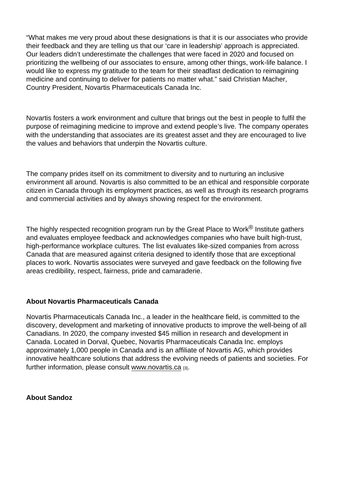"What makes me very proud about these designations is that it is our associates who provide their feedback and they are telling us that our 'care in leadership' approach is appreciated. Our leaders didn't underestimate the challenges that were faced in 2020 and focused on prioritizing the wellbeing of our associates to ensure, among other things, work-life balance. I would like to express my gratitude to the team for their steadfast dedication to reimagining medicine and continuing to deliver for patients no matter what." said Christian Macher, Country President, Novartis Pharmaceuticals Canada Inc.

Novartis fosters a work environment and culture that brings out the best in people to fulfil the purpose of reimagining medicine to improve and extend people's live. The company operates with the understanding that associates are its greatest asset and they are encouraged to live the values and behaviors that underpin the Novartis culture.

The company prides itself on its commitment to diversity and to nurturing an inclusive environment all around. Novartis is also committed to be an ethical and responsible corporate citizen in Canada through its employment practices, as well as through its research programs and commercial activities and by always showing respect for the environment.

The highly respected recognition program run by the Great Place to Work $^{\circledR}$  Institute gathers and evaluates employee feedback and acknowledges companies who have built high-trust, high-performance workplace cultures. The list evaluates like-sized companies from across Canada that are measured against criteria designed to identify those that are exceptional places to work. Novartis associates were surveyed and gave feedback on the following five areas credibility, respect, fairness, pride and camaraderie.

## About Novartis Pharmaceuticals Canada

Novartis Pharmaceuticals Canada Inc., a leader in the healthcare field, is committed to the discovery, development and marketing of innovative products to improve the well-being of all Canadians. In 2020, the company invested \$45 million in research and development in Canada. Located in Dorval, Quebec, Novartis Pharmaceuticals Canada Inc. employs approximately 1,000 people in Canada and is an affiliate of Novartis AG, which provides innovative healthcare solutions that address the evolving needs of patients and societies. For further information, please consult www.novartis.ca [3].

About Sandoz